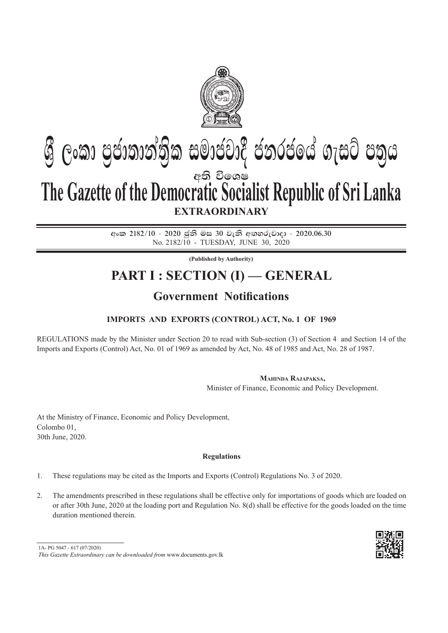

# අති වි**ඉ**ශෂ **EXTRAORDINARY Gී ලංකා පුජාතාන්තික සමාජවාදී ජනරජයේ ගැසට් පතුය The Gazette of the Democratic Socialist Republic of Sri Lanka**

අංක 2182/10 - 2020 ජුනි මස 30 වැනි අඟහරුවාදා - 2020.06.30 No. 2182/10 - tuesday, june 30, 2020

**(Published by Authority)**

## **PART I : SECTION (I) — GENERAL**

## **Government Notifications**

### **Imports and Exports (Control) Act, No. 1 of 1969**

Regulations made by the Minister under section 20 to read with sub-section (3) of section 4 and section 14 of the Imports and Exports (Control) Act, No. 01 of 1969 as amended by Act, No. 48 of 1985 and Act, No. 28 of 1987.

**Mahinda Rajapaksa,**

Minister of Finance, Economic and Policy Development.

At the Ministry of Finance, Economic and Policy Development, Colombo 01, 30th June, 2020.

#### **Regulations**

- 1. These regulations may be cited as the Imports and Exports (Control) Regulations No. 3 of 2020.
- 2. The amendments prescribed in these regulations shall be effective only for importations of goods which are loaded on or after 30th June, 2020 at the loading port and Regulation No. 8(d) shall be effective for the goods loaded on the time duration mentioned therein.



<sup>1</sup>A- PG 5047 - 617 (07/2020)

*This Gazette Extraordinary can be downloaded from* www.documents.gov.lk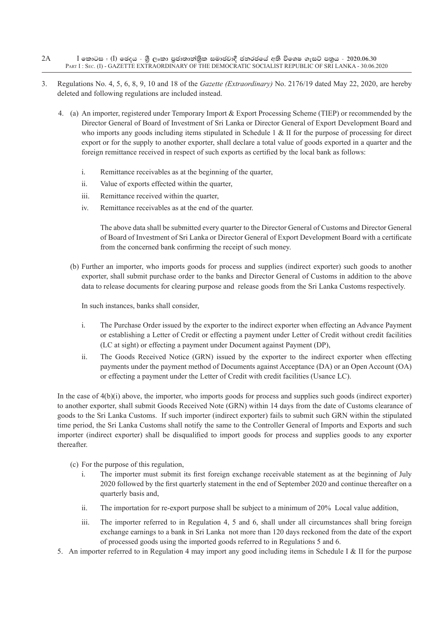- $I$  කොටස : (I) ඡෙදය ශීූ ලංකා පුජාතාන්තිුක සමාජවාදී ජනරජයේ අති විශෙෂ ගැසට් පතුය 2020.06.30 Part I : Sec. (I) - GAZETTE EXTRAORDINARY OF THE DEMOCRATIC SOCIALIST REPUBLIC OF SRI LANKA - 30.06.2020 2A
- 3. Regulations No. 4, 5, 6, 8, 9, 10 and 18 of the *Gazette (Extraordinary)* No. 2176/19 dated May 22, 2020, are hereby deleted and following regulations are included instead.
	- 4. (a) An importer, registered under Temporary Import & Export Processing Scheme (TIEP) or recommended by the Director General of Board of Investment of Sri Lanka or Director General of Export Development Board and who imports any goods including items stipulated in Schedule 1 & II for the purpose of processing for direct export or for the supply to another exporter, shall declare a total value of goods exported in a quarter and the foreign remittance received in respect of such exports as certified by the local bank as follows:
		- i. Remittance receivables as at the beginning of the quarter,
		- ii. Value of exports effected within the quarter,
		- iii. Remittance received within the quarter,
		- iv. Remittance receivables as at the end of the quarter.

 The above data shall be submitted every quarter to the Director General of Customs and Director General of Board of Investment of Sri Lanka or Director General of Export Development Board with a certificate from the concerned bank confirming the receipt of such money.

(b) Further an importer, who imports goods for process and supplies (indirect exporter) such goods to another exporter, shall submit purchase order to the banks and Director General of Customs in addition to the above data to release documents for clearing purpose and release goods from the Sri Lanka Customs respectively.

In such instances, banks shall consider,

- i. The Purchase Order issued by the exporter to the indirect exporter when effecting an Advance Payment or establishing a Letter of Credit or effecting a payment under Letter of Credit without credit facilities (LC at sight) or effecting a payment under Document against Payment (DP),
- ii. The Goods Received Notice (GRN) issued by the exporter to the indirect exporter when effecting payments under the payment method of Documents against Acceptance (DA) or an Open Account (OA) or effecting a payment under the Letter of Credit with credit facilities (Usance LC).

 In the case of 4(b)(i) above, the importer, who imports goods for process and supplies such goods (indirect exporter) to another exporter, shall submit Goods Received Note (GRN) within 14 days from the date of Customs clearance of goods to the Sri Lanka Customs. If such importer (indirect exporter) fails to submit such GRN within the stipulated time period, the Sri Lanka Customs shall notify the same to the Controller General of Imports and Exports and such importer (indirect exporter) shall be disqualified to import goods for process and supplies goods to any exporter thereafter.

- (c) For the purpose of this regulation,
	- i. The importer must submit its first foreign exchange receivable statement as at the beginning of July 2020 followed by the first quarterly statement in the end of September 2020 and continue thereafter on a quarterly basis and,
	- ii. The importation for re-export purpose shall be subject to a minimum of 20% Local value addition,
	- iii. The importer referred to in Regulation 4, 5 and 6, shall under all circumstances shall bring foreign exchange earnings to a bank in Sri Lanka not more than 120 days reckoned from the date of the export of processed goods using the imported goods referred to in Regulations 5 and 6.
- 5. An importer referred to in Regulation 4 may import any good including items in Schedule I & II for the purpose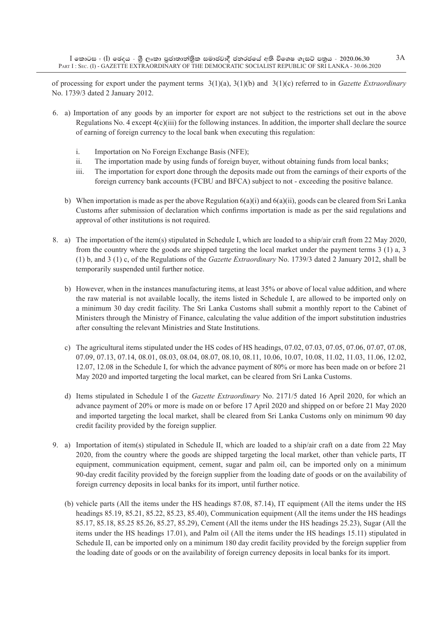of processing for export under the payment terms 3(1)(a), 3(1)(b) and 3(1)(c) referred to in *Gazette Extraordinary*  No. 1739/3 dated 2 January 2012.

- 6. a) Importation of any goods by an importer for export are not subject to the restrictions set out in the above Regulations No. 4 except 4(c)(iii) for the following instances. In addition, the importer shall declare the source of earning of foreign currency to the local bank when executing this regulation:
	- i. Importation on No Foreign Exchange Basis (NFE);
	- ii. The importation made by using funds of foreign buyer, without obtaining funds from local banks;
	- iii. The importation for export done through the deposits made out from the earnings of their exports of the foreign currency bank accounts (FCBU and BFCA) subject to not - exceeding the positive balance.
	- b) When importation is made as per the above Regulation 6(a)(i) and 6(a)(ii), goods can be cleared from Sri Lanka Customs after submission of declaration which confirms importation is made as per the said regulations and approval of other institutions is not required.
- 8. a) The importation of the item(s) stipulated in Schedule I, which are loaded to a ship/air craft from 22 May 2020, from the country where the goods are shipped targeting the local market under the payment terms 3 (1) a, 3 (1) b, and 3 (1) c, of the Regulations of the *Gazette Extraordinary* No. 1739/3 dated 2 January 2012, shall be temporarily suspended until further notice.
	- b) However, when in the instances manufacturing items, at least 35% or above of local value addition, and where the raw material is not available locally, the items listed in Schedule I, are allowed to be imported only on a minimum 30 day credit facility. The Sri Lanka Customs shall submit a monthly report to the Cabinet of Ministers through the Ministry of Finance, calculating the value addition of the import substitution industries after consulting the relevant Ministries and State Institutions.
	- c) The agricultural items stipulated under the HS codes of HS headings, 07.02, 07.03, 07.05, 07.06, 07.07, 07.08, 07.09, 07.13, 07.14, 08.01, 08.03, 08.04, 08.07, 08.10, 08.11, 10.06, 10.07, 10.08, 11.02, 11.03, 11.06, 12.02, 12.07, 12.08 in the Schedule I, for which the advance payment of 80% or more has been made on or before 21 May 2020 and imported targeting the local market, can be cleared from Sri Lanka Customs.
	- d) Items stipulated in Schedule I of the *Gazette Extraordinary* No. 2171/5 dated 16 April 2020, for which an advance payment of 20% or more is made on or before 17 April 2020 and shipped on or before 21 May 2020 and imported targeting the local market, shall be cleared from Sri Lanka Customs only on minimum 90 day credit facility provided by the foreign supplier.
- 9. a) Importation of item(s) stipulated in Schedule II, which are loaded to a ship/air craft on a date from 22 May 2020, from the country where the goods are shipped targeting the local market, other than vehicle parts, IT equipment, communication equipment, cement, sugar and palm oil, can be imported only on a minimum 90-day credit facility provided by the foreign supplier from the loading date of goods or on the availability of foreign currency deposits in local banks for its import, until further notice.
	- (b) vehicle parts (All the items under the HS headings 87.08, 87.14), IT equipment (All the items under the HS headings 85.19, 85.21, 85.22, 85.23, 85.40), Communication equipment (All the items under the HS headings 85.17, 85.18, 85.25 85.26, 85.27, 85.29), Cement (All the items under the HS headings 25.23), Sugar (All the items under the HS headings 17.01), and Palm oil (All the items under the HS headings 15.11) stipulated in Schedule II, can be imported only on a minimum 180 day credit facility provided by the foreign supplier from the loading date of goods or on the availability of foreign currency deposits in local banks for its import.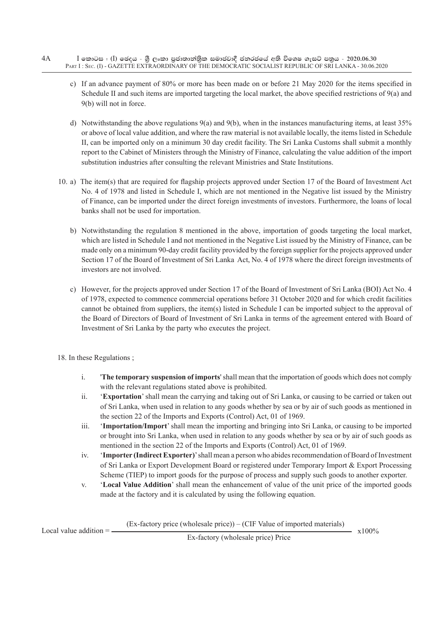- $I$  කොටස : (I) ඡෙදය ශීූ ලංකා පුජාතාන්තිුක සමාජවාදී ජනරජයේ අති විශෙෂ ගැසට් පතුය 2020.06.30 Part I : Sec. (I) - GAZETTE EXTRAORDINARY OF THE DEMOCRATIC SOCIALIST REPUBLIC OF SRI LANKA - 30.06.2020 4A
	- c) If an advance payment of 80% or more has been made on or before 21 May 2020 for the items specified in Schedule II and such items are imported targeting the local market, the above specified restrictions of 9(a) and 9(b) will not in force.
	- d) Notwithstanding the above regulations 9(a) and 9(b), when in the instances manufacturing items, at least 35% or above of local value addition, and where the raw material is not available locally, the items listed in Schedule II, can be imported only on a minimum 30 day credit facility. The Sri Lanka Customs shall submit a monthly report to the Cabinet of Ministers through the Ministry of Finance, calculating the value addition of the import substitution industries after consulting the relevant Ministries and State Institutions.
	- 10. a) The item(s) that are required for flagship projects approved under Section 17 of the Board of Investment Act No. 4 of 1978 and listed in Schedule I, which are not mentioned in the Negative list issued by the Ministry of Finance, can be imported under the direct foreign investments of investors. Furthermore, the loans of local banks shall not be used for importation.
		- b) Notwithstanding the regulation 8 mentioned in the above, importation of goods targeting the local market, which are listed in Schedule I and not mentioned in the Negative List issued by the Ministry of Finance, can be made only on a minimum 90-day credit facility provided by the foreign supplier for the projects approved under Section 17 of the Board of Investment of Sri Lanka Act, No. 4 of 1978 where the direct foreign investments of investors are not involved.
		- c) However, for the projects approved under Section 17 of the Board of Investment of Sri Lanka (BOI) Act No. 4 of 1978, expected to commence commercial operations before 31 October 2020 and for which credit facilities cannot be obtained from suppliers, the item(s) listed in Schedule I can be imported subject to the approval of the Board of Directors of Board of Investment of Sri Lanka in terms of the agreement entered with Board of Investment of Sri Lanka by the party who executes the project.
	- 18. In these Regulations ;
		- i. '**The temporary suspension of imports**' shall mean that the importation of goods which does not comply with the relevant regulations stated above is prohibited.
		- ii. '**Exportation**' shall mean the carrying and taking out of Sri Lanka, or causing to be carried or taken out of Sri Lanka, when used in relation to any goods whether by sea or by air of such goods as mentioned in the section 22 of the Imports and Exports (Control) Act, 01 of 1969.
		- iii. '**Importation/Import**' shall mean the importing and bringing into Sri Lanka, or causing to be imported or brought into Sri Lanka, when used in relation to any goods whether by sea or by air of such goods as mentioned in the section 22 of the Imports and Exports (Control) Act, 01 of 1969.
		- iv. '**Importer (Indirect Exporter)**' shall mean a person who abides recommendation of Board of Investment of Sri Lanka or Export Development Board or registered under Temporary Import & Export Processing Scheme (TIEP) to import goods for the purpose of process and supply such goods to another exporter.
		- v. '**Local Value Addition**' shall mean the enhancement of value of the unit price of the imported goods made at the factory and it is calculated by using the following equation.

(Ex-factory price (wholesale price)) – (CIF Value of imported materials)

Local value addition =  $\frac{1}{x}$  x100%  $\frac{1}{x}$  x100%  $\frac{1}{x}$  x100%

Ex-factory (wholesale price) Price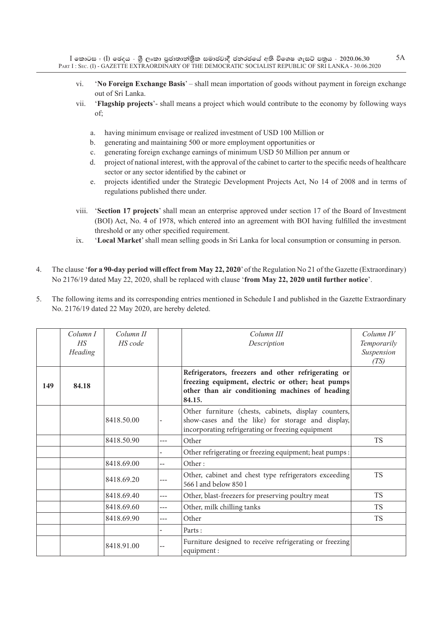- vi. '**No Foreign Exchange Basis**' shall mean importation of goods without payment in foreign exchange out of Sri Lanka.
- vii. '**Flagship projects**'- shall means a project which would contribute to the economy by following ways of;
	- a. having minimum envisage or realized investment of USD 100 Million or
	- b. generating and maintaining 500 or more employment opportunities or
	- c. generating foreign exchange earnings of minimum USD 50 Million per annum or
	- d. project of national interest, with the approval of the cabinet to carter to the specific needs of healthcare sector or any sector identified by the cabinet or
	- e. projects identified under the Strategic Development Projects Act, No 14 of 2008 and in terms of regulations published there under.
- viii. '**Section 17 projects**' shall mean an enterprise approved under section 17 of the Board of Investment (BOI) Act, No. 4 of 1978, which entered into an agreement with BOI having fulfilled the investment threshold or any other specified requirement.
- ix. '**Local Market**' shall mean selling goods in Sri Lanka for local consumption or consuming in person.
- 4. The clause '**for a 90-day period will effect from May 22, 2020**' of the Regulation No 21 of the Gazette (Extraordinary) No 2176/19 dated May 22, 2020, shall be replaced with clause '**from May 22, 2020 until further notice**'.
- 5. The following items and its corresponding entries mentioned in Schedule I and published in the Gazette Extraordinary No. 2176/19 dated 22 May 2020, are hereby deleted.

|     | Column I<br>H.S<br>Heading | Column II<br>HS code |     | Column III<br>Description                                                                                                                                            | $Column\ IV$<br>Temporarily<br>Suspension<br>(TS) |
|-----|----------------------------|----------------------|-----|----------------------------------------------------------------------------------------------------------------------------------------------------------------------|---------------------------------------------------|
| 149 | 84.18                      |                      |     | Refrigerators, freezers and other refrigerating or<br>freezing equipment, electric or other; heat pumps<br>other than air conditioning machines of heading<br>84.15. |                                                   |
|     |                            | 8418.50.00           |     | Other furniture (chests, cabinets, display counters,<br>show-cases and the like) for storage and display,<br>incorporating refrigerating or freezing equipment       |                                                   |
|     |                            | 8418.50.90           | --- | Other                                                                                                                                                                | <b>TS</b>                                         |
|     |                            |                      |     | Other refrigerating or freezing equipment; heat pumps :                                                                                                              |                                                   |
|     |                            | 8418.69.00           | $-$ | Other:                                                                                                                                                               |                                                   |
|     |                            | 8418.69.20           |     | Other, cabinet and chest type refrigerators exceeding<br>566 l and below 850 l                                                                                       | <b>TS</b>                                         |
|     |                            | 8418.69.40           | --- | Other, blast-freezers for preserving poultry meat                                                                                                                    | <b>TS</b>                                         |
|     |                            | 8418.69.60           | --- | Other, milk chilling tanks                                                                                                                                           | TS.                                               |
|     |                            | 8418.69.90           | --- | Other                                                                                                                                                                | TS.                                               |
|     |                            |                      |     | Parts:                                                                                                                                                               |                                                   |
|     |                            | 8418.91.00           |     | Furniture designed to receive refrigerating or freezing<br>equipment:                                                                                                |                                                   |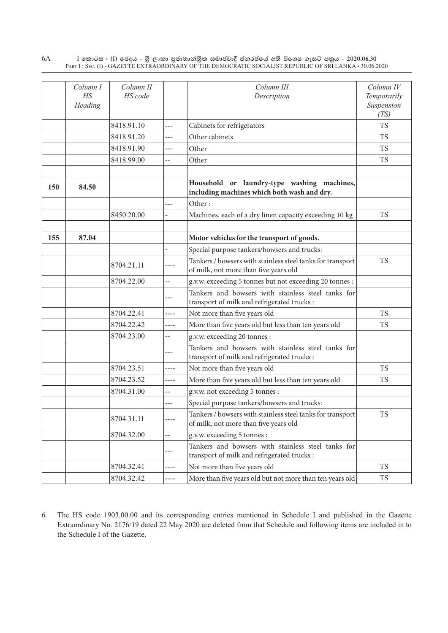|     | Column I<br>$H\!S$<br>Heading | Column II<br>HS code |                          | Column III<br>Description                                                                           | Column IV<br>Temporarily<br>Suspension<br>(TS) |
|-----|-------------------------------|----------------------|--------------------------|-----------------------------------------------------------------------------------------------------|------------------------------------------------|
|     |                               | 8418.91.10           | $---$                    | Cabinets for refrigerators                                                                          | <b>TS</b>                                      |
|     |                               | 8418.91.20           | ---                      | Other cabinets                                                                                      | <b>TS</b>                                      |
|     |                               | 8418.91.90           | ---                      | Other                                                                                               | <b>TS</b>                                      |
|     |                               | 8418.99.00           | --                       | Other                                                                                               | <b>TS</b>                                      |
| 150 | 84.50                         |                      |                          | Household or laundry-type washing machines,<br>including machines which both wash and dry.          |                                                |
|     |                               |                      | ---                      | Other:                                                                                              |                                                |
|     |                               | 8450.20.00           |                          | Machines, each of a dry linen capacity exceeding 10 kg                                              | <b>TS</b>                                      |
|     |                               |                      |                          |                                                                                                     |                                                |
| 155 | 87.04                         |                      |                          | Motor vehicles for the transport of goods.                                                          |                                                |
|     |                               |                      |                          | Special purpose tankers/bowsers and trucks:                                                         |                                                |
|     |                               | 8704.21.11           | ----                     | Tankers / bowsers with stainless steel tanks for transport<br>of milk, not more than five years old | <b>TS</b>                                      |
|     |                               | 8704.22.00           | --                       | g.v.w. exceeding 5 tonnes but not exceeding 20 tonnes :                                             |                                                |
|     |                               |                      | ---                      | Tankers and bowsers with stainless steel tanks for<br>transport of milk and refrigerated trucks :   |                                                |
|     |                               | 8704.22.41           | ----                     | Not more than five years old                                                                        | <b>TS</b>                                      |
|     |                               | 8704.22.42           | ----                     | More than five years old but less than ten years old                                                | <b>TS</b>                                      |
|     |                               | 8704.23.00           | --                       | g.v.w. exceeding 20 tonnes :                                                                        |                                                |
|     |                               |                      | ---                      | Tankers and bowsers with stainless steel tanks for<br>transport of milk and refrigerated trucks :   |                                                |
|     |                               | 8704.23.51           | ----                     | Not more than five years old                                                                        | <b>TS</b>                                      |
|     |                               | 8704.23.52           | ----                     | More than five years old but less than ten years old                                                | <b>TS</b>                                      |
|     |                               | 8704.31.00           | --                       | g.v.w. not exceeding 5 tonnes :                                                                     |                                                |
|     |                               |                      | ---                      | Special purpose tankers/bowsers and trucks:                                                         |                                                |
|     |                               | 8704.31.11           | ----                     | Tankers / bowsers with stainless steel tanks for transport<br>of milk, not more than five years old | <b>TS</b>                                      |
|     |                               | 8704.32.00           | $\overline{\phantom{a}}$ | g.v.w. exceeding 5 tonnes :                                                                         |                                                |
|     |                               |                      | $--$                     | Tankers and bowsers with stainless steel tanks for<br>transport of milk and refrigerated trucks :   |                                                |
|     |                               | 8704.32.41           | ----                     | Not more than five years old                                                                        | <b>TS</b>                                      |
|     |                               | 8704.32.42           | ----                     | More than five years old but not more than ten years old                                            | <b>TS</b>                                      |

6. The HS code 1903.00.00 and its corresponding entries mentioned in Schedule I and published in the Gazette Extraordinary No. 2176/19 dated 22 May 2020 are deleted from that Schedule and following items are included in to the Schedule I of the Gazette.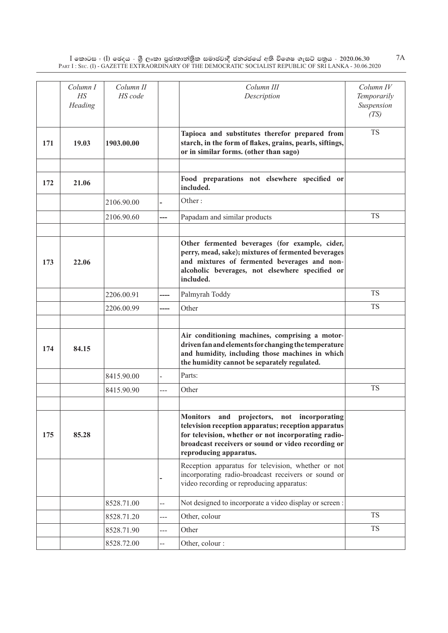|     | Column I<br>$H\!S$<br>Heading | Column II<br>HS code |       | Column III<br>Description                                                                                                                                                                                                                | Column IV<br>Temporarily<br>Suspension<br>(TS) |
|-----|-------------------------------|----------------------|-------|------------------------------------------------------------------------------------------------------------------------------------------------------------------------------------------------------------------------------------------|------------------------------------------------|
| 171 | 19.03                         | 1903.00.00           |       | Tapioca and substitutes therefor prepared from<br>starch, in the form of flakes, grains, pearls, siftings,<br>or in similar forms. (other than sago)                                                                                     | <b>TS</b>                                      |
| 172 | 21.06                         |                      |       | Food preparations not elsewhere specified or<br>included.                                                                                                                                                                                |                                                |
|     |                               | 2106.90.00           |       | Other:                                                                                                                                                                                                                                   |                                                |
|     |                               | 2106.90.60           |       | Papadam and similar products                                                                                                                                                                                                             | <b>TS</b>                                      |
| 173 | 22.06                         |                      |       | Other fermented beverages (for example, cider,<br>perry, mead, sake); mixtures of fermented beverages<br>and mixtures of fermented beverages and non-<br>alcoholic beverages, not elsewhere specified or<br>included.                    |                                                |
|     |                               | 2206.00.91           | ----  | Palmyrah Toddy                                                                                                                                                                                                                           | <b>TS</b>                                      |
|     |                               | 2206.00.99           | ----  | Other                                                                                                                                                                                                                                    | <b>TS</b>                                      |
|     |                               |                      |       |                                                                                                                                                                                                                                          |                                                |
| 174 | 84.15                         |                      |       | Air conditioning machines, comprising a motor-<br>driven fan and elements for changing the temperature<br>and humidity, including those machines in which<br>the humidity cannot be separately regulated.                                |                                                |
|     |                               | 8415.90.00           |       | Parts:                                                                                                                                                                                                                                   |                                                |
|     |                               | 8415.90.90           | $---$ | Other                                                                                                                                                                                                                                    | <b>TS</b>                                      |
|     |                               |                      |       |                                                                                                                                                                                                                                          |                                                |
| 175 | 85.28                         |                      |       | Monitors and projectors, not incorporating<br>television reception apparatus; reception apparatus<br>for television, whether or not incorporating radio-<br>broadcast receivers or sound or video recording or<br>reproducing apparatus. |                                                |
|     |                               |                      |       | Reception apparatus for television, whether or not<br>incorporating radio-broadcast receivers or sound or<br>video recording or reproducing apparatus:                                                                                   |                                                |
|     |                               | 8528.71.00           | --    | Not designed to incorporate a video display or screen :                                                                                                                                                                                  |                                                |
|     |                               | 8528.71.20           | ---   | Other, colour                                                                                                                                                                                                                            | <b>TS</b>                                      |
|     |                               | 8528.71.90           | ---   | Other                                                                                                                                                                                                                                    | <b>TS</b>                                      |
|     |                               | 8528.72.00           | --    | Other, colour :                                                                                                                                                                                                                          |                                                |

7A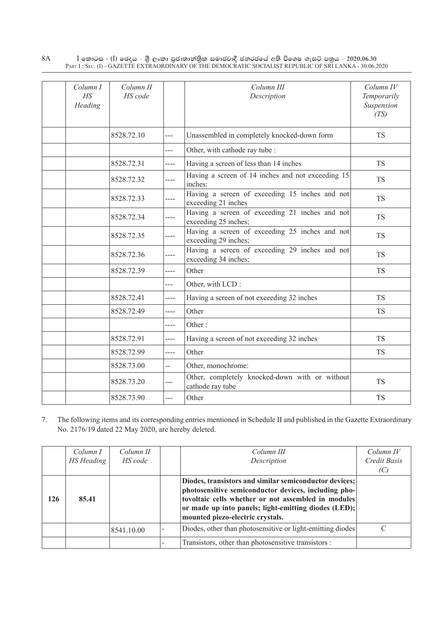| Column I<br>H S<br>Heading | Column II<br>HS code |       | Column III<br>Description                                              | $Column\ IV$<br>Temporarily<br>Suspension<br>(TS) |
|----------------------------|----------------------|-------|------------------------------------------------------------------------|---------------------------------------------------|
|                            | 8528.72.10           | ---   | Unassembled in completely knocked-down form                            | <b>TS</b>                                         |
|                            |                      | ---   | Other, with cathode ray tube :                                         |                                                   |
|                            | 8528.72.31           | ----  | Having a screen of less than 14 inches                                 | <b>TS</b>                                         |
|                            | 8528.72.32           | ----  | Having a screen of 14 inches and not exceeding 15<br>inches:           | <b>TS</b>                                         |
|                            | 8528.72.33           |       | Having a screen of exceeding 15 inches and not<br>exceeding 21 inches  | <b>TS</b>                                         |
|                            | 8528.72.34           | ----  | Having a screen of exceeding 21 inches and not<br>exceeding 25 inches; | <b>TS</b>                                         |
|                            | 8528.72.35           | ----  | Having a screen of exceeding 25 inches and not<br>exceeding 29 inches; | <b>TS</b>                                         |
|                            | 8528.72.36           | ----  | Having a screen of exceeding 29 inches and not<br>exceeding 34 inches; | <b>TS</b>                                         |
|                            | 8528.72.39           | $---$ | Other                                                                  | <b>TS</b>                                         |
|                            |                      | ---   | Other, with LCD:                                                       |                                                   |
|                            | 8528.72.41           | ----  | Having a screen of not exceeding 32 inches                             | <b>TS</b>                                         |
|                            | 8528.72.49           | ----  | Other                                                                  | <b>TS</b>                                         |
|                            |                      | ----  | Other:                                                                 |                                                   |
|                            | 8528.72.91           | ----  | Having a screen of not exceeding 32 inches                             | <b>TS</b>                                         |
|                            | 8528.72.99           | ----  | Other                                                                  | <b>TS</b>                                         |
|                            | 8528.73.00           | --    | Other, monochrome:                                                     |                                                   |
|                            | 8528.73.20           | ---   | Other, completely knocked-down with or without<br>cathode ray tube     | <b>TS</b>                                         |
|                            | 8528.73.90           | $---$ | Other                                                                  | <b>TS</b>                                         |

7. The following items and its corresponding entries mentioned in Schedule II and published in the Gazette Extraordinary No. 2176/19 dated 22 May 2020, are hereby deleted.

|     | Column I<br>HS Heading | Column II<br>HS code | Column III<br>Description                                                                                                                                                                                                                                         | Column IV<br>Credit Basis |
|-----|------------------------|----------------------|-------------------------------------------------------------------------------------------------------------------------------------------------------------------------------------------------------------------------------------------------------------------|---------------------------|
|     |                        |                      |                                                                                                                                                                                                                                                                   |                           |
| 126 | 85.41                  |                      | Diodes, transistors and similar semiconductor devices;<br>photosensitive semiconductor devices, including pho-<br>tovoltaic cells whether or not assembled in modules<br>or made up into panels; light-emitting diodes (LED);<br>mounted piezo-electric crystals. |                           |
|     |                        | 8541.10.00           | Diodes, other than photosensitive or light-emitting diodes                                                                                                                                                                                                        | $\subset$                 |
|     |                        |                      | Transistors, other than photosensitive transistors :                                                                                                                                                                                                              |                           |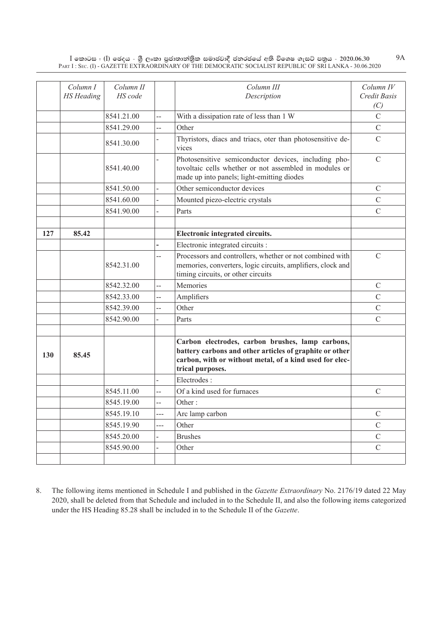9A

|     | Column I<br><b>HS</b> Heading | Column II<br>HS code |                | Column III<br>Description                                                                                                                                                                  | Column IV<br>Credit Basis<br>(C) |
|-----|-------------------------------|----------------------|----------------|--------------------------------------------------------------------------------------------------------------------------------------------------------------------------------------------|----------------------------------|
|     |                               | 8541.21.00           | $\overline{a}$ | With a dissipation rate of less than 1 W                                                                                                                                                   | $\overline{C}$                   |
|     |                               | 8541.29.00           | $-$            | Other                                                                                                                                                                                      | $\mathsf{C}$                     |
|     |                               | 8541.30.00           |                | Thyristors, diacs and triacs, oter than photosensitive de-<br>vices                                                                                                                        | $\mathcal{C}$                    |
|     |                               | 8541.40.00           |                | Photosensitive semiconductor devices, including pho-<br>tovoltaic cells whether or not assembled in modules or<br>made up into panels; light-emitting diodes                               | $\mathcal{C}$                    |
|     |                               | 8541.50.00           |                | Other semiconductor devices                                                                                                                                                                | $\mathcal{C}$                    |
|     |                               | 8541.60.00           |                | Mounted piezo-electric crystals                                                                                                                                                            | C                                |
|     |                               | 8541.90.00           |                | Parts                                                                                                                                                                                      | $\mathcal{C}$                    |
|     |                               |                      |                |                                                                                                                                                                                            |                                  |
| 127 | 85.42                         |                      |                | Electronic integrated circuits.                                                                                                                                                            |                                  |
|     |                               |                      |                | Electronic integrated circuits :                                                                                                                                                           |                                  |
|     |                               | 8542.31.00           | $-$            | Processors and controllers, whether or not combined with<br>memories, converters, logic circuits, amplifiers, clock and<br>timing circuits, or other circuits                              | $\mathcal{C}$                    |
|     |                               | 8542.32.00           | $\overline{a}$ | Memories                                                                                                                                                                                   | $\mathcal{C}$                    |
|     |                               | 8542.33.00           | --             | Amplifiers                                                                                                                                                                                 | $\overline{C}$                   |
|     |                               | 8542.39.00           |                | Other                                                                                                                                                                                      | $\mathcal{C}$                    |
|     |                               | 8542.90.00           |                | Parts                                                                                                                                                                                      | $\overline{C}$                   |
|     |                               |                      |                |                                                                                                                                                                                            |                                  |
| 130 | 85.45                         |                      |                | Carbon electrodes, carbon brushes, lamp carbons,<br>battery carbons and other articles of graphite or other<br>carbon, with or without metal, of a kind used for elec-<br>trical purposes. |                                  |
|     |                               |                      |                | Electrodes:                                                                                                                                                                                |                                  |
|     |                               | 8545.11.00           | $\overline{a}$ | Of a kind used for furnaces                                                                                                                                                                | $\mathcal{C}$                    |
|     |                               | 8545.19.00           | $-$            | Other:                                                                                                                                                                                     |                                  |
|     |                               | 8545.19.10           | $-$            | Arc lamp carbon                                                                                                                                                                            | $\mathcal{C}$                    |
|     |                               | 8545.19.90           | ---            | Other                                                                                                                                                                                      | $\overline{C}$                   |
|     |                               | 8545.20.00           |                | <b>Brushes</b>                                                                                                                                                                             | C                                |
|     |                               | 8545.90.00           |                | Other                                                                                                                                                                                      | $\overline{C}$                   |
|     |                               |                      |                |                                                                                                                                                                                            |                                  |

8. The following items mentioned in Schedule I and published in the *Gazette Extraordinary* No. 2176/19 dated 22 May 2020, shall be deleted from that Schedule and included in to the Schedule II, and also the following items categorized under the HS Heading 85.28 shall be included in to the Schedule II of the *Gazette*.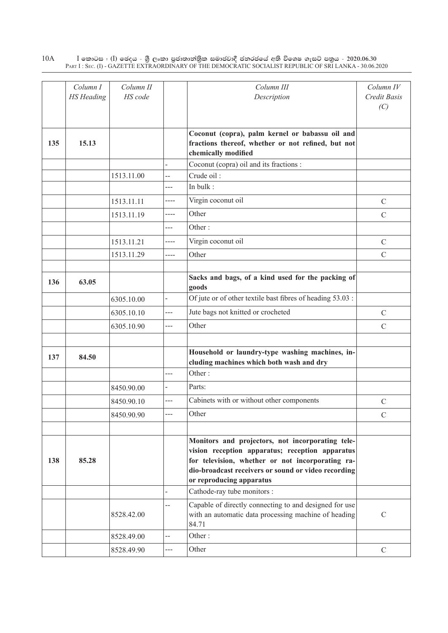|     | Column I          | Column II  |       | Column III                                                                      | Column IV     |
|-----|-------------------|------------|-------|---------------------------------------------------------------------------------|---------------|
|     | <b>HS</b> Heading | HS code    |       | Description                                                                     | Credit Basis  |
|     |                   |            |       |                                                                                 | (C)           |
|     |                   |            |       |                                                                                 |               |
|     |                   |            |       | Coconut (copra), palm kernel or babassu oil and                                 |               |
| 135 | 15.13             |            |       | fractions thereof, whether or not refined, but not                              |               |
|     |                   |            |       | chemically modified                                                             |               |
|     |                   |            |       | Coconut (copra) oil and its fractions :<br>Crude oil:                           |               |
|     |                   | 1513.11.00 | --    | In bulk:                                                                        |               |
|     |                   |            | ---   |                                                                                 |               |
|     |                   | 1513.11.11 | ----  | Virgin coconut oil                                                              | $\mathcal{C}$ |
|     |                   | 1513.11.19 | ----  | Other                                                                           | $\mathcal{C}$ |
|     |                   |            | ---   | Other:                                                                          |               |
|     |                   | 1513.11.21 | ----  | Virgin coconut oil                                                              | $\mathcal{C}$ |
|     |                   | 1513.11.29 | ----  | Other                                                                           | $\mathcal{C}$ |
|     |                   |            |       |                                                                                 |               |
| 136 | 63.05             |            |       | Sacks and bags, of a kind used for the packing of<br>goods                      |               |
|     |                   | 6305.10.00 |       | Of jute or of other textile bast fibres of heading 53.03 :                      |               |
|     |                   | 6305.10.10 | ---   | Jute bags not knitted or crocheted                                              | $\mathcal{C}$ |
|     |                   | 6305.10.90 | ---   | Other                                                                           | $\mathcal{C}$ |
|     |                   |            |       |                                                                                 |               |
| 137 | 84.50             |            |       | Household or laundry-type washing machines, in-                                 |               |
|     |                   |            |       | cluding machines which both wash and dry<br>Other:                              |               |
|     |                   |            | ---   |                                                                                 |               |
|     |                   | 8450.90.00 |       | Parts:                                                                          |               |
|     |                   | 8450.90.10 | ---   | Cabinets with or without other components                                       | $\mathcal{C}$ |
|     |                   | 8450.90.90 |       | Other                                                                           | $\mathcal{C}$ |
|     |                   |            |       |                                                                                 |               |
|     |                   |            |       | Monitors and projectors, not incorporating tele-                                |               |
|     |                   |            |       | vision reception apparatus; reception apparatus                                 |               |
| 138 | 85.28             |            |       | for television, whether or not incorporating ra-                                |               |
|     |                   |            |       | dio-broadcast receivers or sound or video recording<br>or reproducing apparatus |               |
|     |                   |            |       | Cathode-ray tube monitors :                                                     |               |
|     |                   |            | --    | Capable of directly connecting to and designed for use                          |               |
|     |                   | 8528.42.00 |       | with an automatic data processing machine of heading<br>84.71                   | $\mathbf C$   |
|     |                   | 8528.49.00 | $-$   | Other:                                                                          |               |
|     |                   | 8528.49.90 | $---$ | Other                                                                           | $\mathcal{C}$ |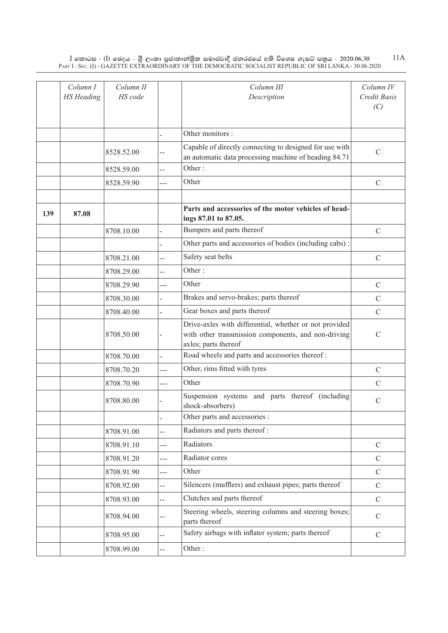|     | Column I<br><b>HS</b> Heading | Column II<br>HS code |                | Column III<br>Description                                                                                                             | Column IV<br>Credit Basis<br>(C) |
|-----|-------------------------------|----------------------|----------------|---------------------------------------------------------------------------------------------------------------------------------------|----------------------------------|
|     |                               |                      |                | Other monitors :                                                                                                                      |                                  |
|     |                               | 8528.52.00           |                | Capable of directly connecting to designed for use with<br>an automatic data processing machine of heading 84.71                      | $\mathcal{C}$                    |
|     |                               | 8528.59.00           | $-$            | Other:                                                                                                                                |                                  |
|     |                               | 8528.59.90           | ---            | Other                                                                                                                                 | $\mathbf C$                      |
| 139 | 87.08                         |                      |                | Parts and accessories of the motor vehicles of head-<br>ings 87.01 to 87.05.                                                          |                                  |
|     |                               | 8708.10.00           |                | Bumpers and parts thereof                                                                                                             | $\mathcal{C}$                    |
|     |                               |                      |                | Other parts and accessories of bodies (including cabs):                                                                               |                                  |
|     |                               | 8708.21.00           | --             | Safety seat belts                                                                                                                     | $\mathcal{C}$                    |
|     |                               | 8708.29.00           | $-$            | Other:                                                                                                                                |                                  |
|     |                               | 8708.29.90           | ---            | Other                                                                                                                                 | $\mathcal{C}$                    |
|     |                               | 8708.30.00           |                | Brakes and servo-brakes; parts thereof                                                                                                | $\mathcal{C}$                    |
|     |                               | 8708.40.00           |                | Gear boxes and parts thereof                                                                                                          | $\mathcal{C}$                    |
|     |                               | 8708.50.00           |                | Drive-axles with differential, whether or not provided<br>with other transmission components, and non-driving<br>axles; parts thereof | $\mathcal{C}$                    |
|     |                               | 8708.70.00           | $\overline{a}$ | Road wheels and parts and accessories thereof:                                                                                        |                                  |
|     |                               | 8708.70.20           | ---            | Other, rims fitted with tyres                                                                                                         | $\mathcal{C}$                    |
|     |                               | 8708.70.90           | ---            | Other                                                                                                                                 | $\mathcal{C}$                    |
|     |                               | 8708.80.00           |                | Suspension systems and parts thereof (including<br>shock-absorbers)                                                                   | $\mathbf C$                      |
|     |                               |                      |                | Other parts and accessories :                                                                                                         |                                  |
|     |                               | 8708.91.00           | $\overline{a}$ | Radiators and parts thereof:                                                                                                          |                                  |
|     |                               | 8708.91.10           | $\overline{a}$ | Radiators                                                                                                                             | $\mathcal{C}$                    |
|     |                               | 8708.91.20           | $---$          | Radiator cores                                                                                                                        | $\mathcal{C}$                    |
|     |                               | 8708.91.90           | $---$          | Other                                                                                                                                 | $\mathcal{C}$                    |
|     |                               | 8708.92.00           | $\overline{a}$ | Silencers (mufflers) and exhaust pipes; parts thereof                                                                                 | $\mathcal{C}$                    |
|     |                               | 8708.93.00           | $\overline{a}$ | Clutches and parts thereof                                                                                                            | $\mathcal{C}$                    |
|     |                               | 8708.94.00           | --             | Steering wheels, steering columns and steering boxes;<br>parts thereof                                                                | $\mathcal{C}$                    |
|     |                               | 8708.95.00           | $\overline{a}$ | Safety airbags with inflater system; parts thereof                                                                                    | $\mathcal{C}$                    |
|     |                               | 8708.99.00           | --             | Other:                                                                                                                                |                                  |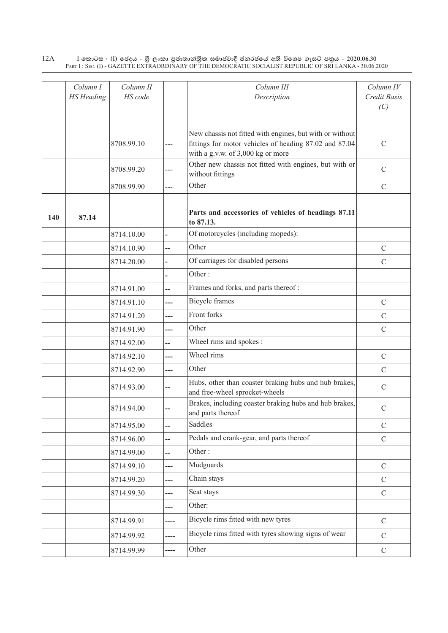|     | Column I<br><b>HS</b> Heading | Column II<br>HS code |      | Column III<br>Description                                                                                                                               | Column IV<br>Credit Basis<br>(C) |
|-----|-------------------------------|----------------------|------|---------------------------------------------------------------------------------------------------------------------------------------------------------|----------------------------------|
|     |                               | 8708.99.10           | ---  | New chassis not fitted with engines, but with or without<br>fittings for motor vehicles of heading 87.02 and 87.04<br>with a g.v.w. of 3,000 kg or more | $\mathcal{C}$                    |
|     |                               | 8708.99.20           | ---  | Other new chassis not fitted with engines, but with or<br>without fittings                                                                              | $\mathcal{C}$                    |
|     |                               | 8708.99.90           | ---  | Other                                                                                                                                                   | $\mathbf C$                      |
| 140 | 87.14                         |                      |      | Parts and accessories of vehicles of headings 87.11<br>to 87.13.                                                                                        |                                  |
|     |                               | 8714.10.00           |      | Of motorcycles (including mopeds):                                                                                                                      |                                  |
|     |                               | 8714.10.90           | --   | Other                                                                                                                                                   | $\mathcal{C}$                    |
|     |                               | 8714.20.00           |      | Of carriages for disabled persons                                                                                                                       | $\mathcal{C}$                    |
|     |                               |                      |      | Other:                                                                                                                                                  |                                  |
|     |                               | 8714.91.00           | --   | Frames and forks, and parts thereof:                                                                                                                    |                                  |
|     |                               | 8714.91.10           | ---  | <b>Bicycle</b> frames                                                                                                                                   | $\mathbf C$                      |
|     |                               | 8714.91.20           | ---  | Front forks                                                                                                                                             | $\mathcal{C}$                    |
|     |                               | 8714.91.90           | ---  | Other                                                                                                                                                   | $\mathcal{C}$                    |
|     |                               | 8714.92.00           | --   | Wheel rims and spokes :                                                                                                                                 |                                  |
|     |                               | 8714.92.10           | ---  | Wheel rims                                                                                                                                              | $\mathbf C$                      |
|     |                               | 8714.92.90           | ---  | Other                                                                                                                                                   | $\mathcal{C}$                    |
|     |                               | 8714.93.00           | --   | Hubs, other than coaster braking hubs and hub brakes,<br>and free-wheel sprocket-wheels                                                                 | $\mathbf C$                      |
|     |                               | 8714.94.00           | --   | Brakes, including coaster braking hubs and hub brakes,<br>and parts thereof                                                                             | $\mathcal{C}$                    |
|     |                               | 8714.95.00           | --   | Saddles                                                                                                                                                 | $\mathcal{C}$                    |
|     |                               | 8714.96.00           | --   | Pedals and crank-gear, and parts thereof                                                                                                                | $\mathcal{C}$                    |
|     |                               | 8714.99.00           | --   | Other:                                                                                                                                                  |                                  |
|     |                               | 8714.99.10           | ---  | Mudguards                                                                                                                                               | $\mathcal{C}$                    |
|     |                               | 8714.99.20           | ---  | Chain stays                                                                                                                                             | $\mathcal{C}$                    |
|     |                               | 8714.99.30           | ---  | Seat stays                                                                                                                                              | $\mathcal{C}$                    |
|     |                               |                      | ---  | Other:                                                                                                                                                  |                                  |
|     |                               | 8714.99.91           | ---- | Bicycle rims fitted with new tyres                                                                                                                      | $\mathbf C$                      |
|     |                               | 8714.99.92           | ---- | Bicycle rims fitted with tyres showing signs of wear                                                                                                    | $\mathcal{C}$                    |
|     |                               | 8714.99.99           | ---- | Other                                                                                                                                                   | $\mathcal{C}$                    |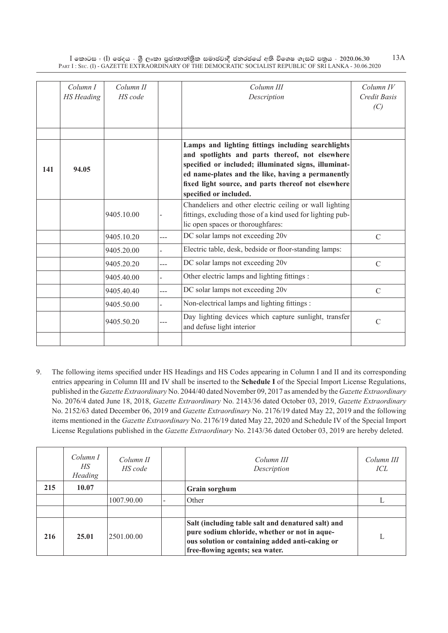|     | Column I          | Column II  |      | Column III                                                                                      | $Column\ IV$  |
|-----|-------------------|------------|------|-------------------------------------------------------------------------------------------------|---------------|
|     | <b>HS</b> Heading | HS code    |      | Description                                                                                     | Credit Basis  |
|     |                   |            |      |                                                                                                 | (C)           |
|     |                   |            |      |                                                                                                 |               |
|     |                   |            |      |                                                                                                 |               |
|     |                   |            |      | Lamps and lighting fittings including searchlights                                              |               |
|     |                   |            |      | and spotlights and parts thereof, not elsewhere                                                 |               |
| 141 | 94.05             |            |      | specified or included; illuminated signs, illuminat-                                            |               |
|     |                   |            |      | ed name-plates and the like, having a permanently                                               |               |
|     |                   |            |      | fixed light source, and parts thereof not elsewhere                                             |               |
|     |                   |            |      | specified or included.                                                                          |               |
|     |                   |            |      | Chandeliers and other electric ceiling or wall lighting                                         |               |
|     |                   | 9405.10.00 |      | fittings, excluding those of a kind used for lighting pub-<br>lic open spaces or thoroughfares: |               |
|     |                   |            |      |                                                                                                 |               |
|     |                   | 9405.10.20 | ---  | DC solar lamps not exceeding 20v                                                                | $\mathcal{C}$ |
|     |                   | 9405.20.00 |      | Electric table, desk, bedside or floor-standing lamps:                                          |               |
|     |                   | 9405.20.20 | ---  | DC solar lamps not exceeding 20v                                                                | $\mathcal{C}$ |
|     |                   | 9405.40.00 |      | Other electric lamps and lighting fittings :                                                    |               |
|     |                   | 9405.40.40 | $ -$ | DC solar lamps not exceeding 20v                                                                | $\mathcal{C}$ |
|     |                   | 9405.50.00 |      | Non-electrical lamps and lighting fittings :                                                    |               |
|     |                   | 9405.50.20 | ---  | Day lighting devices which capture sunlight, transfer<br>and defuse light interior              | $\mathcal{C}$ |
|     |                   |            |      |                                                                                                 |               |

9. The following items specified under HS Headings and HS Codes appearing in Column I and II and its corresponding entries appearing in Column III and IV shall be inserted to the **Schedule I** of the Special Import License Regulations, published in the *Gazette Extraordinary* No. 2044/40 dated November 09, 2017 as amended by the *Gazette Extraordinary*  No. 2076/4 dated June 18, 2018, *Gazette Extraordinary* No. 2143/36 dated October 03, 2019, *Gazette Extraordinary*  No. 2152/63 dated December 06, 2019 and *Gazette Extraordinary* No. 2176/19 dated May 22, 2019 and the following items mentioned in the *Gazette Extraordinary* No. 2176/19 dated May 22, 2020 and Schedule IV of the Special Import License Regulations published in the *Gazette Extraordinary* No. 2143/36 dated October 03, 2019 are hereby deleted.

|     | Column I<br>НS<br><b>Heading</b> | Column II<br>HS code | Column III<br>Description                                                                                                                                                                 | Column III<br>ICL |
|-----|----------------------------------|----------------------|-------------------------------------------------------------------------------------------------------------------------------------------------------------------------------------------|-------------------|
| 215 | 10.07                            |                      | Grain sorghum                                                                                                                                                                             |                   |
|     |                                  | 1007.90.00           | Other                                                                                                                                                                                     |                   |
|     |                                  |                      |                                                                                                                                                                                           |                   |
| 216 | 25.01                            | 2501.00.00           | Salt (including table salt and denatured salt) and<br>pure sodium chloride, whether or not in aque-<br>ous solution or containing added anti-caking or<br>free-flowing agents; sea water. |                   |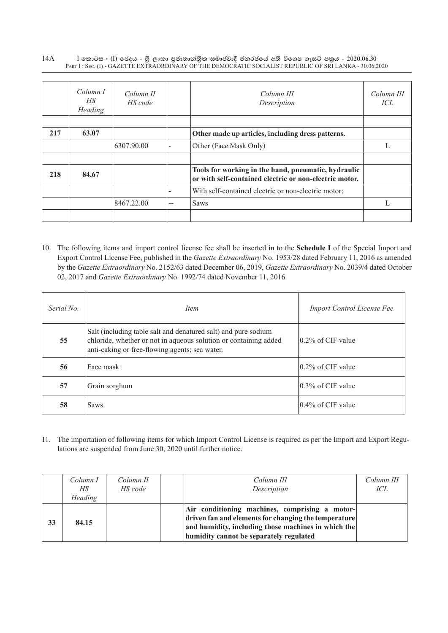|     | Column I<br>HS.<br>Heading | Column II<br>HS code |    | Column III<br>Description                                                                                     | Column III<br>ICL |
|-----|----------------------------|----------------------|----|---------------------------------------------------------------------------------------------------------------|-------------------|
|     |                            |                      |    |                                                                                                               |                   |
| 217 | 63.07                      |                      |    | Other made up articles, including dress patterns.                                                             |                   |
|     |                            | 6307.90.00           |    | Other (Face Mask Only)                                                                                        |                   |
|     |                            |                      |    |                                                                                                               |                   |
| 218 | 84.67                      |                      |    | Tools for working in the hand, pneumatic, hydraulic<br>or with self-contained electric or non-electric motor. |                   |
|     |                            |                      |    | With self-contained electric or non-electric motor:                                                           |                   |
|     |                            | 8467.22.00           | -- | Saws                                                                                                          |                   |
|     |                            |                      |    |                                                                                                               |                   |

10. The following items and import control license fee shall be inserted in to the **Schedule I** of the Special Import and Export Control License Fee, published in the *Gazette Extraordinary* No. 1953/28 dated February 11, 2016 as amended by the *Gazette Extraordinary* No. 2152/63 dated December 06, 2019, *Gazette Extraordinary* No. 2039/4 dated October 02, 2017 and *Gazette Extraordinary* No. 1992/74 dated November 11, 2016.

| Serial No. | <i>Item</i>                                                                                                                                                                          | <b>Import Control License Fee</b>   |
|------------|--------------------------------------------------------------------------------------------------------------------------------------------------------------------------------------|-------------------------------------|
| 55         | Salt (including table salt and denatured salt) and pure sodium<br>chloride, whether or not in aqueous solution or containing added<br>anti-caking or free-flowing agents; sea water. | $\sqrt{0.2\% \text{ of CIF}}$ value |
| 56         | Face mask                                                                                                                                                                            | $(0.2\% \text{ of CIF value})$      |
| 57         | Grain sorghum                                                                                                                                                                        | $10.3\%$ of CIF value               |
| 58         | <b>Saws</b>                                                                                                                                                                          | $0.4\%$ of CIF value                |

11. The importation of following items for which Import Control License is required as per the Import and Export Regulations are suspended from June 30, 2020 until further notice.

|    | Column I<br>HS<br><b>Heading</b> | Column II<br>HS code | Column III<br>Description                                                                                                                                                                                | Column III<br>ICL |
|----|----------------------------------|----------------------|----------------------------------------------------------------------------------------------------------------------------------------------------------------------------------------------------------|-------------------|
| 33 | 84.15                            |                      | Air conditioning machines, comprising a motor-<br>driven fan and elements for changing the temperature<br>and humidity, including those machines in which the<br>humidity cannot be separately regulated |                   |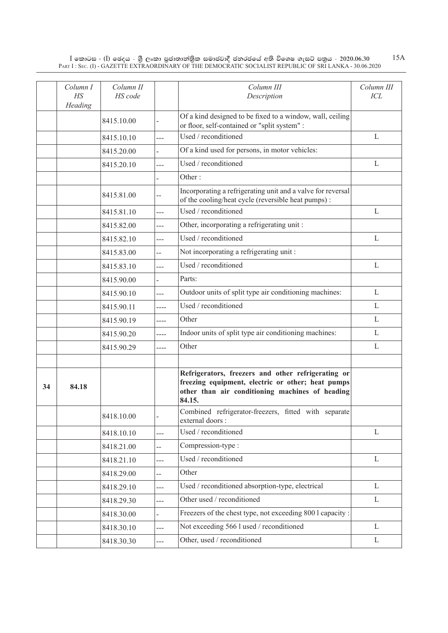|    | Column I<br>$H\!S$<br>Heading | Column II<br>HS code |                | Column III<br>Description                                                                                                                                            | Column III<br>ICL |
|----|-------------------------------|----------------------|----------------|----------------------------------------------------------------------------------------------------------------------------------------------------------------------|-------------------|
|    |                               | 8415.10.00           |                | Of a kind designed to be fixed to a window, wall, ceiling<br>or floor, self-contained or "split system" :                                                            |                   |
|    |                               | 8415.10.10           | $---$          | Used / reconditioned                                                                                                                                                 | $\mathbf{L}$      |
|    |                               | 8415.20.00           |                | Of a kind used for persons, in motor vehicles:                                                                                                                       |                   |
|    |                               | 8415.20.10           | $---$          | Used / reconditioned                                                                                                                                                 | L                 |
|    |                               |                      |                | Other:                                                                                                                                                               |                   |
|    |                               | 8415.81.00           | --             | Incorporating a refrigerating unit and a valve for reversal<br>of the cooling/heat cycle (reversible heat pumps):                                                    |                   |
|    |                               | 8415.81.10           | $---$          | Used / reconditioned                                                                                                                                                 | L                 |
|    |                               | 8415.82.00           | $---$          | Other, incorporating a refrigerating unit:                                                                                                                           |                   |
|    |                               | 8415.82.10           | ---            | Used / reconditioned                                                                                                                                                 | $\mathbf{L}$      |
|    |                               | 8415.83.00           | --             | Not incorporating a refrigerating unit:                                                                                                                              |                   |
|    |                               | 8415.83.10           | $-$            | Used / reconditioned                                                                                                                                                 | $\mathbf{L}$      |
|    |                               | 8415.90.00           |                | Parts:                                                                                                                                                               |                   |
|    |                               | 8415.90.10           | ---            | Outdoor units of split type air conditioning machines:                                                                                                               | L                 |
|    |                               | 8415.90.11           | ----           | Used / reconditioned                                                                                                                                                 | L                 |
|    |                               | 8415.90.19           | ----           | Other                                                                                                                                                                | L                 |
|    |                               | 8415.90.20           | ----           | Indoor units of split type air conditioning machines:                                                                                                                | $\mathbf{L}$      |
|    |                               | 8415.90.29           | ----           | Other                                                                                                                                                                | L                 |
|    |                               |                      |                |                                                                                                                                                                      |                   |
| 34 | 84.18                         |                      |                | Refrigerators, freezers and other refrigerating or<br>freezing equipment, electric or other; heat pumps<br>other than air conditioning machines of heading<br>84.15. |                   |
|    |                               | 8418.10.00           |                | Combined refrigerator-freezers, fitted with separate<br>external doors :                                                                                             |                   |
|    |                               | 8418.10.10           | $\overline{a}$ | Used / reconditioned                                                                                                                                                 | L                 |
|    |                               | 8418.21.00           | $\overline{a}$ | Compression-type :                                                                                                                                                   |                   |
|    |                               | 8418.21.10           | $\overline{a}$ | Used / reconditioned                                                                                                                                                 | $\mathbf L$       |
|    |                               | 8418.29.00           | $\overline{a}$ | Other                                                                                                                                                                |                   |
|    |                               | 8418.29.10           | ---            | Used / reconditioned absorption-type, electrical                                                                                                                     | $\mathbf{L}$      |
|    |                               | 8418.29.30           | $\overline{a}$ | Other used / reconditioned                                                                                                                                           | $\mathbf L$       |
|    |                               | 8418.30.00           |                | Freezers of the chest type, not exceeding 800 l capacity :                                                                                                           |                   |
|    |                               | 8418.30.10           | $\overline{a}$ | Not exceeding 566 l used / reconditioned                                                                                                                             | $\mathbf{L}$      |
|    |                               | 8418.30.30           | ---            | Other, used / reconditioned                                                                                                                                          | L                 |

15A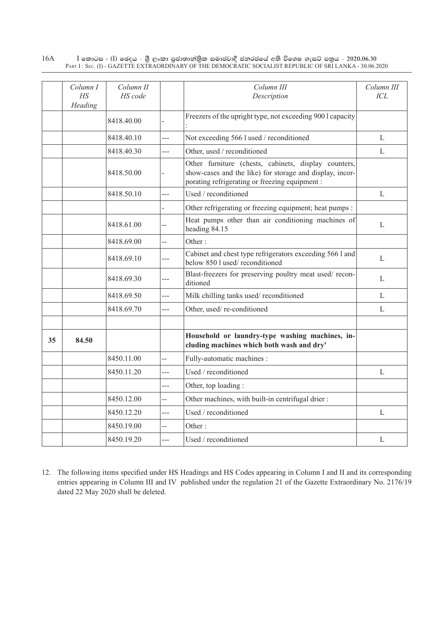|    | Column I<br>$H\!S$<br>Heading | Column II<br>HS code |                | Column III<br>Description                                                                                                                                          | Column III<br>ICL |
|----|-------------------------------|----------------------|----------------|--------------------------------------------------------------------------------------------------------------------------------------------------------------------|-------------------|
|    |                               | 8418.40.00           |                | Freezers of the upright type, not exceeding 900 l capacity                                                                                                         |                   |
|    |                               | 8418.40.10           | $\overline{a}$ | Not exceeding 566 l used / reconditioned                                                                                                                           | L                 |
|    |                               | 8418.40.30           | ---            | Other, used / reconditioned                                                                                                                                        | L                 |
|    |                               | 8418.50.00           |                | Other furniture (chests, cabinets, display counters,<br>show-cases and the like) for storage and display, incor-<br>porating refrigerating or freezing equipment : |                   |
|    |                               | 8418.50.10           | $\overline{a}$ | Used / reconditioned                                                                                                                                               | L                 |
|    |                               |                      |                | Other refrigerating or freezing equipment; heat pumps :                                                                                                            |                   |
|    |                               | 8418.61.00           | --             | Heat pumps other than air conditioning machines of<br>heading 84.15                                                                                                | $\mathbf{L}$      |
|    |                               | 8418.69.00           | --             | Other:                                                                                                                                                             |                   |
|    |                               | 8418.69.10           | ---            | Cabinet and chest type refrigerators exceeding 566 l and<br>below 850 l used/reconditioned                                                                         | L                 |
|    |                               | 8418.69.30           | ---            | Blast-freezers for preserving poultry meat used/recon-<br>ditioned                                                                                                 | $\mathbf{L}$      |
|    |                               | 8418.69.50           | ---            | Milk chilling tanks used/reconditioned                                                                                                                             | $\mathbf{L}$      |
|    |                               | 8418.69.70           | $-$            | Other, used/re-conditioned                                                                                                                                         | L                 |
|    |                               |                      |                |                                                                                                                                                                    |                   |
| 35 | 84.50                         |                      |                | Household or laundry-type washing machines, in-<br>cluding machines which both wash and dry'                                                                       |                   |
|    |                               | 8450.11.00           | --             | Fully-automatic machines :                                                                                                                                         |                   |
|    |                               | 8450.11.20           | ---            | Used / reconditioned                                                                                                                                               | $\mathbf{L}$      |
|    |                               |                      | ---            | Other, top loading:                                                                                                                                                |                   |
|    |                               | 8450.12.00           | $\overline{a}$ | Other machines, with built-in centrifugal drier:                                                                                                                   |                   |
|    |                               | 8450.12.20           | ---            | Used / reconditioned                                                                                                                                               | $\mathbf{L}$      |
|    |                               | 8450.19.00           | $\overline{a}$ | Other:                                                                                                                                                             |                   |
|    |                               | 8450.19.20           | ---            | Used / reconditioned                                                                                                                                               | L                 |

12. The following items specified under HS Headings and HS Codes appearing in Column I and II and its corresponding entries appearing in Column III and IV published under the regulation 21 of the Gazette Extraordinary No. 2176/19 dated 22 May 2020 shall be deleted.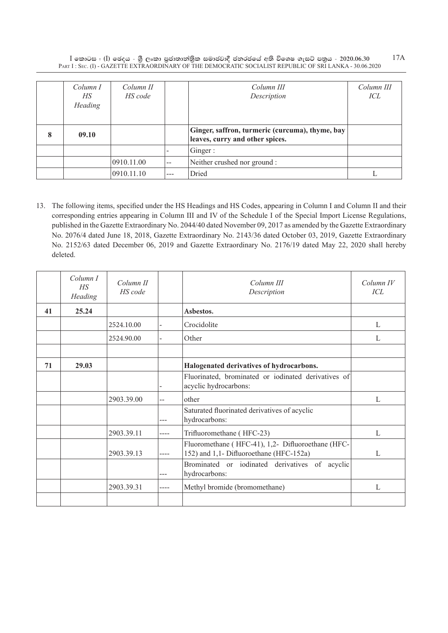|   | Column I<br>НS<br>Heading | Column II<br>HS code |     | Column III<br>Description                                                          | Column III<br>ICL |
|---|---------------------------|----------------------|-----|------------------------------------------------------------------------------------|-------------------|
| 8 | 09.10                     |                      |     | Ginger, saffron, turmeric (curcuma), thyme, bay<br>leaves, curry and other spices. |                   |
|   |                           |                      |     | Ginger:                                                                            |                   |
|   |                           | 0910.11.00           | $-$ | Neither crushed nor ground :                                                       |                   |
|   |                           | 0910.11.10           | --- | Dried                                                                              |                   |

13. The following items, specified under the HS Headings and HS Codes, appearing in Column I and Column II and their corresponding entries appearing in Column III and IV of the Schedule I of the Special Import License Regulations, published in the Gazette Extraordinary No. 2044/40 dated November 09, 2017 as amended by the Gazette Extraordinary No. 2076/4 dated June 18, 2018, Gazette Extraordinary No. 2143/36 dated October 03, 2019, Gazette Extraordinary No. 2152/63 dated December 06, 2019 and Gazette Extraordinary No. 2176/19 dated May 22, 2020 shall hereby deleted.

|    | Column I<br>HS<br>Heading | Column II<br>HS code |      | Column III<br>Description                                                                    | $Column\ IV$<br>ICL |
|----|---------------------------|----------------------|------|----------------------------------------------------------------------------------------------|---------------------|
| 41 | 25.24                     |                      |      | Asbestos.                                                                                    |                     |
|    |                           | 2524.10.00           |      | Crocidolite                                                                                  | $\mathbf{L}$        |
|    |                           | 2524.90.00           |      | Other                                                                                        | $\mathbf{L}$        |
|    |                           |                      |      |                                                                                              |                     |
| 71 | 29.03                     |                      |      | Halogenated derivatives of hydrocarbons.                                                     |                     |
|    |                           |                      | ۰    | Fluorinated, brominated or iodinated derivatives of<br>acyclic hydrocarbons:                 |                     |
|    |                           | 2903.39.00           | $-$  | other                                                                                        | $\mathbf{L}$        |
|    |                           |                      |      | Saturated fluorinated derivatives of acyclic<br>hydrocarbons:                                |                     |
|    |                           | 2903.39.11           | ---- | Trifluoromethane (HFC-23)                                                                    | $\mathbf{L}$        |
|    |                           | 2903.39.13           |      | Fluoromethane (HFC-41), 1,2- Difluoroethane (HFC-<br>152) and 1,1- Difluoroethane (HFC-152a) | L                   |
|    |                           |                      | ---  | Brominated or iodinated derivatives of acyclic<br>hydrocarbons:                              |                     |
|    |                           | 2903.39.31           | ---- | Methyl bromide (bromomethane)                                                                | L                   |
|    |                           |                      |      |                                                                                              |                     |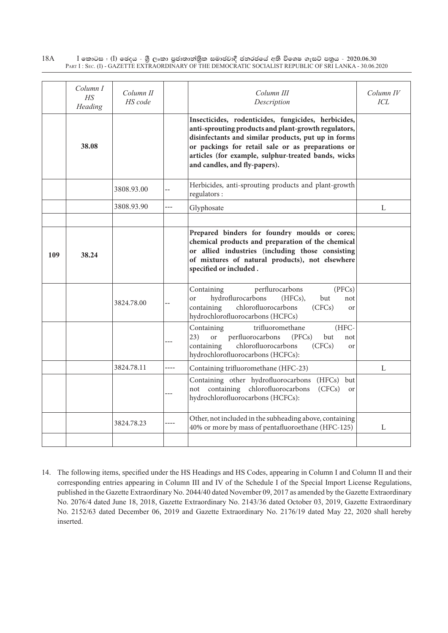|     | Column I<br>H.S<br>Heading | Column II<br>HS code |      | Column III<br>Description                                                                                                                                                                                                                                                                                       | Column IV<br>ICL |
|-----|----------------------------|----------------------|------|-----------------------------------------------------------------------------------------------------------------------------------------------------------------------------------------------------------------------------------------------------------------------------------------------------------------|------------------|
|     | 38.08                      |                      |      | Insecticides, rodenticides, fungicides, herbicides,<br>anti-sprouting products and plant-growth regulators,<br>disinfectants and similar products, put up in forms<br>or packings for retail sale or as preparations or<br>articles (for example, sulphur-treated bands, wicks<br>and candles, and fly-papers). |                  |
|     |                            | 3808.93.00           | $-$  | Herbicides, anti-sprouting products and plant-growth<br>regulators:                                                                                                                                                                                                                                             |                  |
|     |                            | 3808.93.90           | ---  | Glyphosate                                                                                                                                                                                                                                                                                                      | L                |
| 109 | 38.24                      |                      |      | Prepared binders for foundry moulds or cores;<br>chemical products and preparation of the chemical<br>or allied industries (including those consisting<br>of mixtures of natural products), not elsewhere<br>specified or included.                                                                             |                  |
|     |                            | 3824.78.00           | --   | perflurocarbons<br>(PFCs)<br>Containing<br>hydroflurocarbons<br>but<br>$(HECs)$ ,<br><sub>or</sub><br>not<br>chlorofluorocarbons<br>containing<br>(CFCs)<br>or<br>hydrochlorofluorocarbons (HCFCs)                                                                                                              |                  |
|     |                            |                      | ---  | Containing<br>trifluoromethane<br>(HFC-<br>perfluorocarbons<br>23)<br><b>or</b><br>(PFCs)<br>but<br>not<br>chlorofluorocarbons<br>containing<br>(CFCs)<br>or<br>hydrochlorofluorocarbons (HCFCs):                                                                                                               |                  |
|     |                            | 3824.78.11           | ---- | Containing trifluoromethane (HFC-23)                                                                                                                                                                                                                                                                            | L                |
|     |                            |                      |      | Containing other hydrofluorocarbons<br>(HFCs) but<br>not containing chlorofluorocarbons<br>(CFCs)<br><sub>or</sub><br>hydrochlorofluorocarbons (HCFCs):                                                                                                                                                         |                  |
|     |                            | 3824.78.23           | ---- | Other, not included in the subheading above, containing<br>40% or more by mass of pentafluoroethane (HFC-125)                                                                                                                                                                                                   | L                |
|     |                            |                      |      |                                                                                                                                                                                                                                                                                                                 |                  |

14. The following items, specified under the HS Headings and HS Codes, appearing in Column I and Column II and their corresponding entries appearing in Column III and IV of the Schedule I of the Special Import License Regulations, published in the Gazette Extraordinary No. 2044/40 dated November 09, 2017 as amended by the Gazette Extraordinary No. 2076/4 dated June 18, 2018, Gazette Extraordinary No. 2143/36 dated October 03, 2019, Gazette Extraordinary No. 2152/63 dated December 06, 2019 and Gazette Extraordinary No. 2176/19 dated May 22, 2020 shall hereby inserted.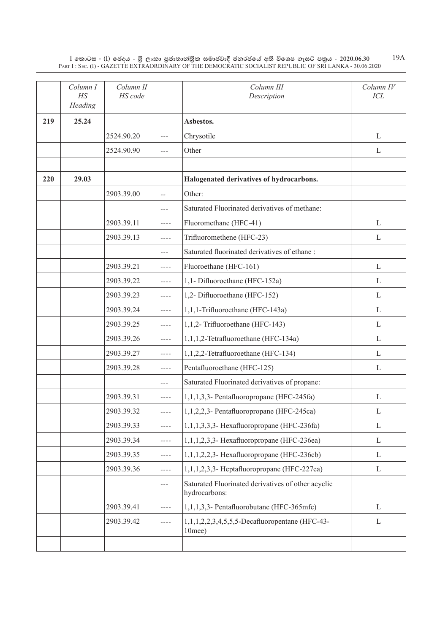|     | Column I<br>H <sub>S</sub><br>Heading | Column II<br>HS code |                | Column III<br>Description                                           | Column IV<br>ICL |
|-----|---------------------------------------|----------------------|----------------|---------------------------------------------------------------------|------------------|
| 219 | 25.24                                 |                      |                | Asbestos.                                                           |                  |
|     |                                       | 2524.90.20           | $- - -$        | Chrysotile                                                          | L                |
|     |                                       | 2524.90.90           | $- - -$        | Other                                                               | L                |
|     |                                       |                      |                |                                                                     |                  |
| 220 | 29.03                                 |                      |                | Halogenated derivatives of hydrocarbons.                            |                  |
|     |                                       | 2903.39.00           | $\overline{a}$ | Other:                                                              |                  |
|     |                                       |                      | $---$          | Saturated Fluorinated derivatives of methane:                       |                  |
|     |                                       | 2903.39.11           | $- - - -$      | Fluoromethane (HFC-41)                                              | L                |
|     |                                       | 2903.39.13           | $- - - -$      | Trifluoromethene (HFC-23)                                           | L                |
|     |                                       |                      | ---            | Saturated fluorinated derivatives of ethane:                        |                  |
|     |                                       | 2903.39.21           | $- - - -$      | Fluoroethane (HFC-161)                                              | $\mathbf{L}$     |
|     |                                       | 2903.39.22           | $- - - -$      | 1,1- Difluoroethane (HFC-152a)                                      | L                |
|     |                                       | 2903.39.23           | $- - - -$      | 1,2- Difluoroethane (HFC-152)                                       | L                |
|     |                                       | 2903.39.24           | $- - - -$      | 1,1,1-Trifluoroethane (HFC-143a)                                    | L                |
|     |                                       | 2903.39.25           | $- - - -$      | 1,1,2- Trifluoroethane (HFC-143)                                    | L                |
|     |                                       | 2903.39.26           | $- - - -$      | 1,1,1,2-Tetrafluoroethane (HFC-134a)                                | $\mathbf{L}$     |
|     |                                       | 2903.39.27           | ----           | 1,1,2,2-Tetrafluoroethane (HFC-134)                                 | L                |
|     |                                       | 2903.39.28           | $- - - -$      | Pentafluoroethane (HFC-125)                                         | L                |
|     |                                       |                      | $- - -$        | Saturated Fluorinated derivatives of propane:                       |                  |
|     |                                       | 2903.39.31           | $- - - -$      | 1,1,1,3,3- Pentafluoropropane (HFC-245fa)                           | L                |
|     |                                       | 2903.39.32           | $- - - -$      | 1,1,2,2,3- Pentafluoropropane (HFC-245ca)                           | L                |
|     |                                       | 2903.39.33           | $- - - -$      | $1,1,1,3,3,3$ - Hexafluoropropane (HFC-236fa)                       | L                |
|     |                                       | 2903.39.34           | $- - - -$      | $1,1,1,2,3,3$ - Hexafluoropropane (HFC-236ea)                       | L                |
|     |                                       | 2903.39.35           | $- - - -$      | $1,1,1,2,2,3$ - Hexafluoropropane (HFC-236cb)                       | L                |
|     |                                       | 2903.39.36           | $- - - -$      | $1,1,1,2,3,3$ - Heptafluoropropane (HFC-227ea)                      | L                |
|     |                                       |                      | ---            | Saturated Fluorinated derivatives of other acyclic<br>hydrocarbons: |                  |
|     |                                       | 2903.39.41           | $- - - -$      | 1,1,1,3,3- Pentafluorobutane (HFC-365mfc)                           | L                |
|     |                                       | 2903.39.42           | ----           | 1,1,1,2,2,3,4,5,5,5-Decafluoropentane (HFC-43-<br>$10$ mee $)$      | L                |
|     |                                       |                      |                |                                                                     |                  |

19A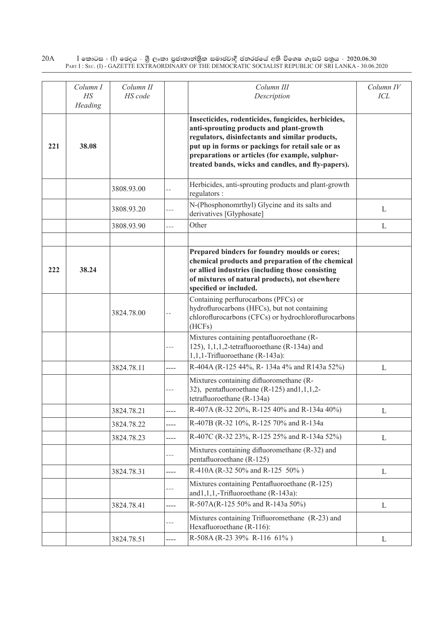|     | Column I<br>HS<br>Heading | Column II<br>HS code |                | Column III<br>Description                                                                                                                                                                                                                                                                                        | Column IV<br>ICL |
|-----|---------------------------|----------------------|----------------|------------------------------------------------------------------------------------------------------------------------------------------------------------------------------------------------------------------------------------------------------------------------------------------------------------------|------------------|
| 221 | 38.08                     |                      |                | Insecticides, rodenticides, fungicides, herbicides,<br>anti-sprouting products and plant-growth<br>regulators, disinfectants and similar products,<br>put up in forms or packings for retail sale or as<br>preparations or articles (for example, sulphur-<br>treated bands, wicks and candles, and fly-papers). |                  |
|     |                           | 3808.93.00           | $-$            | Herbicides, anti-sprouting products and plant-growth<br>regulators :                                                                                                                                                                                                                                             |                  |
|     |                           | 3808.93.20           | ---            | N-(Phosphonomrthyl) Glycine and its salts and<br>derivatives [Glyphosate]                                                                                                                                                                                                                                        | L                |
|     |                           | 3808.93.90           | $\overline{a}$ | Other                                                                                                                                                                                                                                                                                                            | L                |
|     |                           |                      |                |                                                                                                                                                                                                                                                                                                                  |                  |
| 222 | 38.24                     |                      |                | Prepared binders for foundry moulds or cores;<br>chemical products and preparation of the chemical<br>or allied industries (including those consisting<br>of mixtures of natural products), not elsewhere<br>specified or included.                                                                              |                  |
|     |                           | 3824.78.00           | $-$            | Containing perflurocarbons (PFCs) or<br>hydroflurocarbons (HFCs), but not containing<br>chloroflurocarbons (CFCs) or hydrochloroflurocarbons<br>(HCFs)                                                                                                                                                           |                  |
|     |                           |                      | $---$          | Mixtures containing pentafluoroethane (R-<br>125), 1, 1, 1, 2-tetrafluoroethane (R-134a) and<br>1,1,1-Trifluoroethane (R-143a):                                                                                                                                                                                  |                  |
|     |                           | 3824.78.11           | ----           | R-404A (R-125 44%, R-134a 4% and R143a 52%)                                                                                                                                                                                                                                                                      | $\mathbf{L}$     |
|     |                           |                      | $---$          | Mixtures containing difluoromethane (R-<br>32), pentafluoroethane $(R-125)$ and $1,1,2-$<br>tetrafluoroethane (R-134a)                                                                                                                                                                                           |                  |
|     |                           | 3824.78.21           |                | R-407A (R-32 20%, R-125 40% and R-134a 40%)                                                                                                                                                                                                                                                                      | L                |
|     |                           | 3824.78.22           | ----           | R-407B (R-32 10%, R-125 70% and R-134a                                                                                                                                                                                                                                                                           |                  |
|     |                           | 3824.78.23           | ----           | R-407C (R-32 23%, R-125 25% and R-134a 52%)                                                                                                                                                                                                                                                                      | L                |
|     |                           |                      | $---$          | Mixtures containing difluoromethane (R-32) and<br>pentafluoroethane (R-125)                                                                                                                                                                                                                                      |                  |
|     |                           | 3824.78.31           | ----           | R-410A (R-32 50% and R-125 50%)                                                                                                                                                                                                                                                                                  | L                |
|     |                           |                      | ---            | Mixtures containing Pentafluoroethane (R-125)<br>and1,1,1,-Trifluoroethane (R-143a):                                                                                                                                                                                                                             |                  |
|     |                           | 3824.78.41           | ----           | R-507A(R-125 50% and R-143a 50%)                                                                                                                                                                                                                                                                                 | L                |
|     |                           |                      | $---$          | Mixtures containing Trifluoromethane (R-23) and<br>Hexafluoroethane (R-116):                                                                                                                                                                                                                                     |                  |
|     |                           | 3824.78.51           | ----           | R-508A (R-23 39% R-116 61%)                                                                                                                                                                                                                                                                                      | L                |